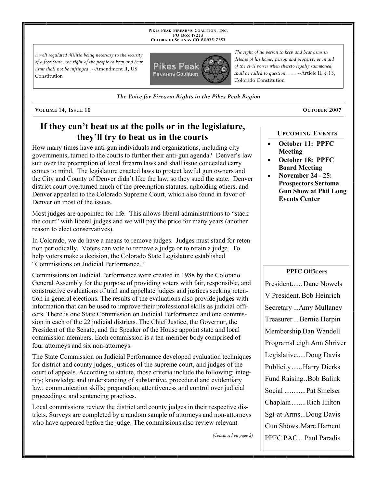**PIKES PEAK FIREARMS COALITION, INC. PO BOX 17253 COLORADO SPRINGS CO 80935 -7253**

*A well regulated Militia being necessary to the security of a free State, the right of the people to keep and bear Arms shall not be infringed.* --Amendment II, US Constitution



*The Voice for Firearm Rights in the Pikes Peak Region*

**VOLUME 14, ISSUE 10 OCTOBER 2007**

### **If they can't beat us at the polls or in the legislature, they'll try to beat us in the courts**

How many times have anti-gun individuals and organizations, including city governments, turned to the courts to further their anti-gun agenda? Denver's law suit over the preemption of local firearm laws and shall issue concealed carry comes to mind. The legislature enacted laws to protect lawful gun owners and the City and County of Denver didn't like the law, so they sued the state. Denver district court overturned much of the preemption statutes, upholding others, and Denver appealed to the Colorado Supreme Court, which also found in favor of Denver on most of the issues.

Most judges are appointed for life. This allows liberal administrations to "stack the court" with liberal judges and we will pay the price for many years (another reason to elect conservatives).

In Colorado, we do have a means to remove judges. Judges must stand for retention periodically. Voters can vote to remove a judge or to retain a judge. To help voters make a decision, the Colorado State Legislature established "Commissions on Judicial Performance."

Commissions on Judicial Performance were created in 1988 by the Colorado General Assembly for the purpose of providing voters with fair, responsible, and constructive evaluations of trial and appellate judges and justices seeking retention in general elections. The results of the evaluations also provide judges with information that can be used to improve their professional skills as judicial officers. There is one State Commission on Judicial Performance and one commission in each of the 22 judicial districts. The Chief Justice, the Governor, the President of the Senate, and the Speaker of the House appoint state and local commission members. Each commission is a ten-member body comprised of four attorneys and six non-attorneys.

The State Commission on Judicial Performance developed evaluation techniques for district and county judges, justices of the supreme court, and judges of the court of appeals. According to statute, those criteria include the following: integrity; knowledge and understanding of substantive, procedural and evidentiary law; communication skills; preparation; attentiveness and control over judicial proceedings; and sentencing practices.

Local commissions review the district and county judges in their respective districts. Surveys are completed by a random sample of attorneys and non-attorneys who have appeared before the judge. The commissions also review relevant

*(Continued on page 2)*

*The right of no person to keep and bear arms in defense of his home, person and property, or in aid of the civil power when thereto legally summoned, shall be called to question; . . .* --Article II, § 13, Colorado Constitution

### **UPCOMING EVENTS**

- **October 11: PPFC Meeting**
- **October 18: PPFC Board Meeting**
- **November 24 25: Prospectors Sertoma Gun Show at Phil Long Events Center**

### **PPFC Officers**

President...... Dane Nowels V President. Bob Heinrich Secretary ...Amy Mullaney Treasurer ... Bernie Herpin Membership Dan Wandell ProgramsLeigh Ann Shriver Legislative.....Doug Davis Publicity......Harry Dierks Fund Raising..Bob Balink Social ............Pat Smelser Chaplain........Rich Hilton Sgt-at-Arms...Doug Davis Gun Shows.Marc Hament PPFC PAC ...Paul Paradis